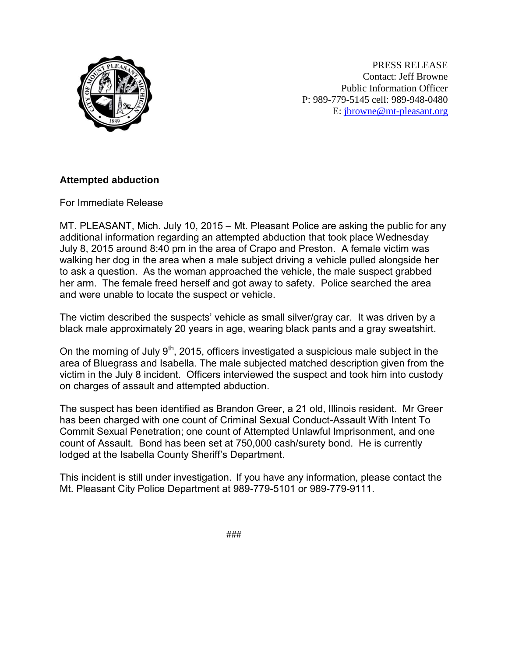

PRESS RELEASE Contact: Jeff Browne Public Information Officer P: 989-779-5145 cell: 989-948-0480 E: [jbrowne@mt-pleasant.org](mailto:jbrowne@mt-pleasant.org)

## **Attempted abduction**

For Immediate Release

MT. PLEASANT, Mich. July 10, 2015 – Mt. Pleasant Police are asking the public for any additional information regarding an attempted abduction that took place Wednesday July 8, 2015 around 8:40 pm in the area of Crapo and Preston. A female victim was walking her dog in the area when a male subject driving a vehicle pulled alongside her to ask a question. As the woman approached the vehicle, the male suspect grabbed her arm. The female freed herself and got away to safety. Police searched the area and were unable to locate the suspect or vehicle.

The victim described the suspects' vehicle as small silver/gray car. It was driven by a black male approximately 20 years in age, wearing black pants and a gray sweatshirt.

On the morning of July  $9<sup>th</sup>$ , 2015, officers investigated a suspicious male subject in the area of Bluegrass and Isabella. The male subjected matched description given from the victim in the July 8 incident. Officers interviewed the suspect and took him into custody on charges of assault and attempted abduction.

The suspect has been identified as Brandon Greer, a 21 old, Illinois resident. Mr Greer has been charged with one count of Criminal Sexual Conduct-Assault With Intent To Commit Sexual Penetration; one count of Attempted Unlawful Imprisonment, and one count of Assault. Bond has been set at 750,000 cash/surety bond. He is currently lodged at the Isabella County Sheriff's Department.

This incident is still under investigation. If you have any information, please contact the Mt. Pleasant City Police Department at 989-779-5101 or 989-779-9111.